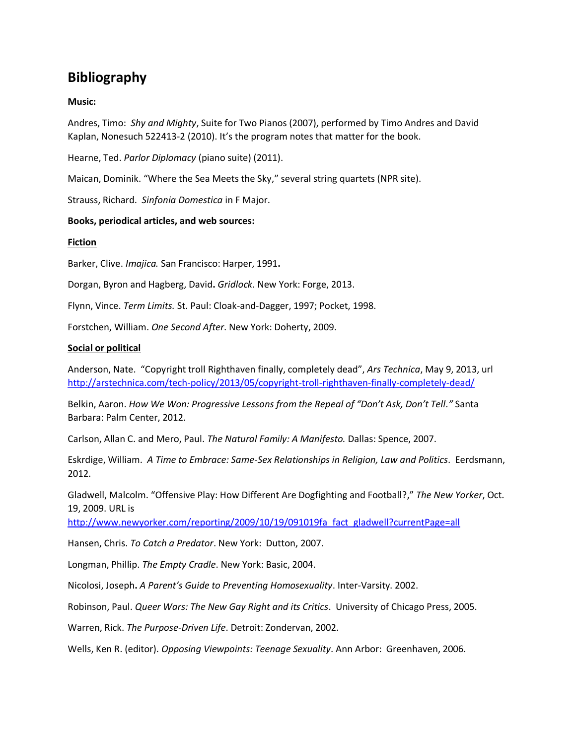# **Bibliography**

# **Music:**

Andres, Timo: *Shy and Mighty*, Suite for Two Pianos (2007), performed by Timo Andres and David Kaplan, Nonesuch 522413-2 (2010). It's the program notes that matter for the book.

Hearne, Ted. *Parlor Diplomacy* (piano suite) (2011).

Maican, Dominik. "Where the Sea Meets the Sky," several string quartets (NPR site).

Strauss, Richard. *Sinfonia Domestica* in F Major.

### **Books, periodical articles, and web sources:**

### **Fiction**

Barker, Clive. *Imajica.* San Francisco: Harper, 1991**.** 

Dorgan, Byron and Hagberg, David**.** *Gridlock*. New York: Forge, 2013.

Flynn, Vince. *Term Limits.* St. Paul: Cloak-and-Dagger, 1997; Pocket, 1998.

Forstchen, William. *One Second After*. New York: Doherty, 2009.

### **Social or political**

Anderson, Nate. "Copyright troll Righthaven finally, completely dead", *Ars Technica*, May 9, 2013, url <http://arstechnica.com/tech-policy/2013/05/copyright-troll-righthaven-finally-completely-dead/>

Belkin, Aaron. *How We Won: Progressive Lessons from the Repeal of "Don't Ask, Don't Tell."* Santa Barbara: Palm Center, 2012.

Carlson, Allan C. and Mero, Paul. *The Natural Family: A Manifesto.* Dallas: Spence, 2007.

Eskrdige, William. *A Time to Embrace: Same-Sex Relationships in Religion, Law and Politics*. Eerdsmann, 2012.

Gladwell, Malcolm. "Offensive Play: How Different Are Dogfighting and Football?," *The New Yorker*, Oct. 19, 2009. URL is

[http://www.newyorker.com/reporting/2009/10/19/091019fa\\_fact\\_gladwell?currentPage=all](http://www.newyorker.com/reporting/2009/10/19/091019fa_fact_gladwell?currentPage=all)

Hansen, Chris. *To Catch a Predator*. New York: Dutton, 2007.

Longman, Phillip. *The Empty Cradle*. New York: Basic, 2004.

Nicolosi, Joseph**.** *A Parent's Guide to Preventing Homosexuality*. Inter-Varsity. 2002.

Robinson, Paul. *Queer Wars: The New Gay Right and its Critics*. University of Chicago Press, 2005.

Warren, Rick. *The Purpose-Driven Life*. Detroit: Zondervan, 2002.

Wells, Ken R. (editor). *Opposing Viewpoints: Teenage Sexuality*. Ann Arbor: Greenhaven, 2006.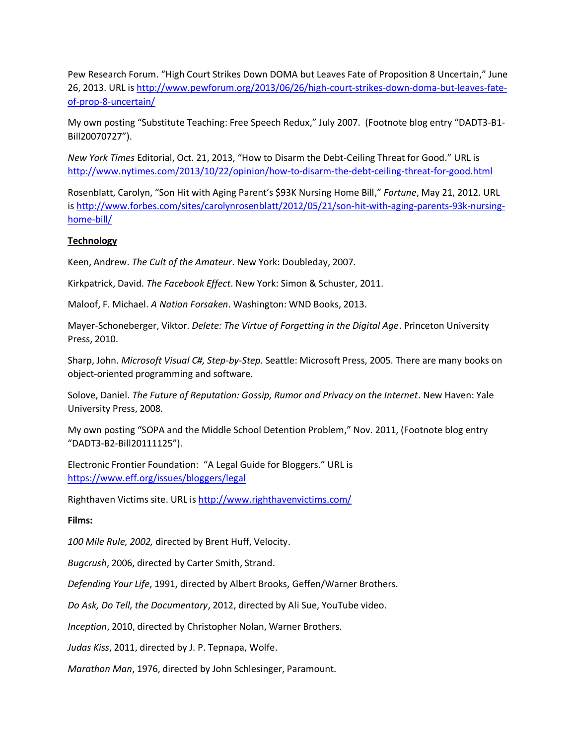Pew Research Forum. "High Court Strikes Down DOMA but Leaves Fate of Proposition 8 Uncertain," June 26, 2013. URL is [http://www.pewforum.org/2013/06/26/high-court-strikes-down-doma-but-leaves-fate](http://www.pewforum.org/2013/06/26/high-court-strikes-down-doma-but-leaves-fate-of-prop-8-uncertain/)[of-prop-8-uncertain/](http://www.pewforum.org/2013/06/26/high-court-strikes-down-doma-but-leaves-fate-of-prop-8-uncertain/)

My own posting "Substitute Teaching: Free Speech Redux," July 2007. (Footnote blog entry "DADT3-B1- Bill20070727").

*New York Times* Editorial, Oct. 21, 2013, "How to Disarm the Debt-Ceiling Threat for Good." URL is <http://www.nytimes.com/2013/10/22/opinion/how-to-disarm-the-debt-ceiling-threat-for-good.html>

Rosenblatt, Carolyn, "Son Hit with Aging Parent's \$93K Nursing Home Bill," *Fortune*, May 21, 2012. URL is [http://www.forbes.com/sites/carolynrosenblatt/2012/05/21/son-hit-with-aging-parents-93k-nursing](http://www.forbes.com/sites/carolynrosenblatt/2012/05/21/son-hit-with-aging-parents-93k-nursing-home-bill/)[home-bill/](http://www.forbes.com/sites/carolynrosenblatt/2012/05/21/son-hit-with-aging-parents-93k-nursing-home-bill/)

# **Technology**

Keen, Andrew. *The Cult of the Amateur*. New York: Doubleday, 2007.

Kirkpatrick, David. *The Facebook Effect*. New York: Simon & Schuster, 2011.

Maloof, F. Michael. *A Nation Forsaken*. Washington: WND Books, 2013.

Mayer-Schoneberger, Viktor. *Delete: The Virtue of Forgetting in the Digital Age*. Princeton University Press, 2010.

Sharp, John. *Microsoft Visual C#, Step-by-Step.* Seattle: Microsoft Press, 2005. There are many books on object-oriented programming and software.

Solove, Daniel. *The Future of Reputation: Gossip, Rumor and Privacy on the Internet*. New Haven: Yale University Press, 2008.

My own posting "SOPA and the Middle School Detention Problem," Nov. 2011, (Footnote blog entry "DADT3-B2-Bill20111125").

Electronic Frontier Foundation: "A Legal Guide for Bloggers." URL is <https://www.eff.org/issues/bloggers/legal>

Righthaven Victims site. URL is <http://www.righthavenvictims.com/>

# **Films:**

*100 Mile Rule, 2002,* directed by Brent Huff, Velocity.

*Bugcrush*, 2006, directed by Carter Smith, Strand.

*Defending Your Life*, 1991, directed by Albert Brooks, Geffen/Warner Brothers.

*Do Ask, Do Tell, the Documentary*, 2012, directed by Ali Sue, YouTube video.

*Inception*, 2010, directed by Christopher Nolan, Warner Brothers.

*Judas Kiss*, 2011, directed by J. P. Tepnapa, Wolfe.

*Marathon Man*, 1976, directed by John Schlesinger, Paramount.